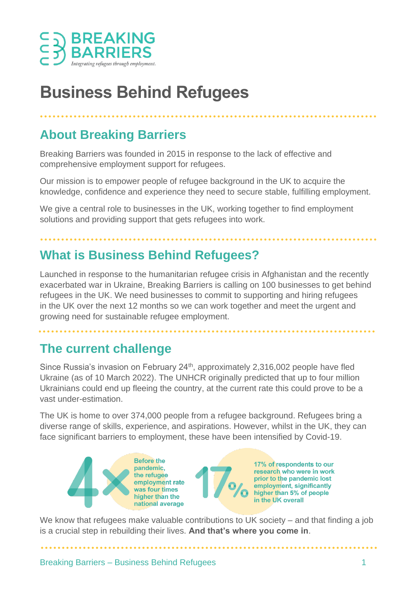

# **Business Behind Refugees**

### **About Breaking Barriers**

Breaking Barriers was founded in 2015 in response to the lack of effective and comprehensive employment support for refugees.

Our mission is to empower people of refugee background in the UK to acquire the knowledge, confidence and experience they need to secure stable, fulfilling employment.

We give a central role to businesses in the UK, working together to find employment solutions and providing support that gets refugees into work.

# **What is Business Behind Refugees?**

Launched in response to the humanitarian refugee crisis in Afghanistan and the recently exacerbated war in Ukraine, Breaking Barriers is calling on 100 businesses to get behind refugees in the UK. We need businesses to commit to supporting and hiring refugees in the UK over the next 12 months so we can work together and meet the urgent and growing need for sustainable refugee employment.

#### **The current challenge**

Since Russia's invasion on February 24<sup>th</sup>, approximately 2,316,002 people have fled Ukraine (as of 10 March 2022). The UNHCR originally predicted that up to four million Ukrainians could end up fleeing the country, at the current rate this could prove to be a vast under-estimation.

The UK is home to over 374,000 people from a refugee background. Refugees bring a diverse range of skills, experience, and aspirations. However, whilst in the UK, they can face significant barriers to employment, these have been intensified by Covid-19.

**Before the** 17% of respondents to our pandemic. research who were in work prior to the pandemic lost employment rate employment, significantly was four times higher than 5% of people higher than the in the UK overall national average

We know that refugees make valuable contributions to UK society – and that finding a job is a crucial step in rebuilding their lives. **And that's where you come in**.

Breaking Barriers – Business Behind Refugees 1

. . . . . . . . . . . . . . . .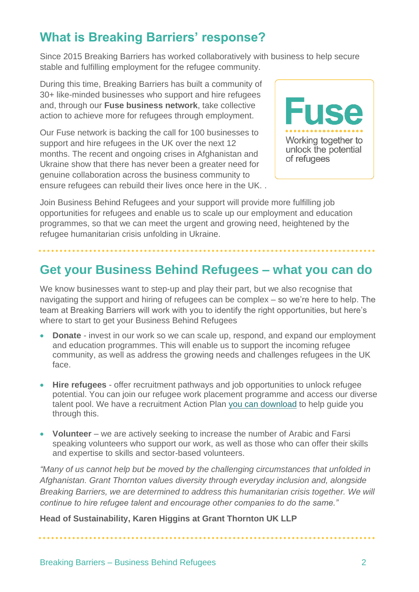# **What is Breaking Barriers' response?**

Since 2015 Breaking Barriers has worked collaboratively with business to help secure stable and fulfilling employment for the refugee community.

During this time, Breaking Barriers has built a community of 30+ like-minded businesses who support and hire refugees and, through our **Fuse business network**, take collective action to achieve more for refugees through employment.

Our Fuse network is backing the call for 100 businesses to support and hire refugees in the UK over the next 12 months. The recent and ongoing crises in Afghanistan and Ukraine show that there has never been a greater need for genuine collaboration across the business community to ensure refugees can rebuild their lives once here in the UK. .



Join Business Behind Refugees and your support will provide more fulfilling job opportunities for refugees and enable us to scale up our employment and education programmes, so that we can meet the urgent and growing need, heightened by the refugee humanitarian crisis unfolding in Ukraine.

### **Get your Business Behind Refugees – what you can do**

We know businesses want to step-up and play their part, but we also recognise that navigating the support and hiring of refugees can be complex – so we're here to help. The team at Breaking Barriers will work with you to identify the right opportunities, but here's where to start to get your Business Behind Refugees

- **Donate** invest in our work so we can scale up, respond, and expand our employment and education programmes. This will enable us to support the incoming refugee community, as well as address the growing needs and challenges refugees in the UK face.
- **Hire refugees**  offer recruitment pathways and job opportunities to unlock refugee potential. You can join our refugee work placement programme and access our diverse talent pool. We have a recruitment Action Plan [you can download](https://breaking-barriers.co.uk/wp-content/uploads/2021/06/Fuse-action-plan-A4L-v6.pdf) to help guide you through this.
- **Volunteer**  we are actively seeking to increase the number of Arabic and Farsi speaking volunteers who support our work, as well as those who can offer their skills and expertise to skills and sector-based volunteers.

*"Many of us cannot help but be moved by the challenging circumstances that unfolded in Afghanistan. Grant Thornton values diversity through everyday inclusion and, alongside Breaking Barriers, we are determined to address this humanitarian crisis together. We will continue to hire refugee talent and encourage other companies to do the same."* 

**Head of Sustainability, Karen Higgins at Grant Thornton UK LLP**